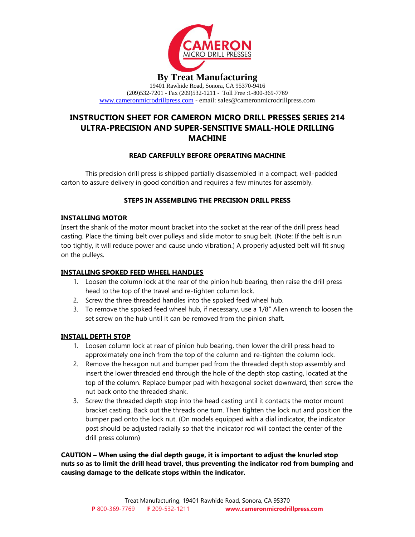

19401 Rawhide Road, Sonora, CA 95370-9416 (209)532-7201 - Fax (209)532-1211 - Toll Free :1-800-369-7769 [www.cameronmicrodrillpress.com](http://www.cameronmicrodrillpress.com/) - email: sales@cameronmicrodrillpress.com

# **INSTRUCTION SHEET FOR CAMERON MICRO DRILL PRESSES SERIES 214 ULTRA-PRECISION AND SUPER-SENSITIVE SMALL-HOLE DRILLING MACHINE**

# **READ CAREFULLY BEFORE OPERATING MACHINE**

This precision drill press is shipped partially disassembled in a compact, well-padded carton to assure delivery in good condition and requires a few minutes for assembly.

# **STEPS IN ASSEMBLING THE PRECISION DRILL PRESS**

# **INSTALLING MOTOR**

Insert the shank of the motor mount bracket into the socket at the rear of the drill press head casting. Place the timing belt over pulleys and slide motor to snug belt. (Note: If the belt is run too tightly, it will reduce power and cause undo vibration.) A properly adjusted belt will fit snug on the pulleys.

# **INSTALLING SPOKED FEED WHEEL HANDLES**

- 1. Loosen the column lock at the rear of the pinion hub bearing, then raise the drill press head to the top of the travel and re-tighten column lock.
- 2. Screw the three threaded handles into the spoked feed wheel hub.
- 3. To remove the spoked feed wheel hub, if necessary, use a 1/8" Allen wrench to loosen the set screw on the hub until it can be removed from the pinion shaft.

## **INSTALL DEPTH STOP**

- 1. Loosen column lock at rear of pinion hub bearing, then lower the drill press head to approximately one inch from the top of the column and re-tighten the column lock.
- 2. Remove the hexagon nut and bumper pad from the threaded depth stop assembly and insert the lower threaded end through the hole of the depth stop casting, located at the top of the column. Replace bumper pad with hexagonal socket downward, then screw the nut back onto the threaded shank.
- 3. Screw the threaded depth stop into the head casting until it contacts the motor mount bracket casting. Back out the threads one turn. Then tighten the lock nut and position the bumper pad onto the lock nut. (On models equipped with a dial indicator, the indicator post should be adjusted radially so that the indicator rod will contact the center of the drill press column)

**CAUTION – When using the dial depth gauge, it is important to adjust the knurled stop nuts so as to limit the drill head travel, thus preventing the indicator rod from bumping and causing damage to the delicate stops within the indicator.**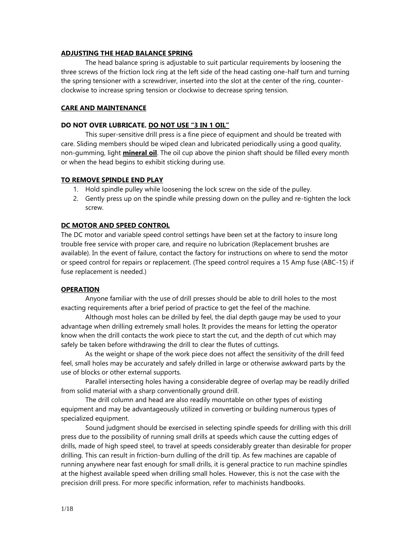#### **ADJUSTING THE HEAD BALANCE SPRING**

The head balance spring is adjustable to suit particular requirements by loosening the three screws of the friction lock ring at the left side of the head casting one-half turn and turning the spring tensioner with a screwdriver, inserted into the slot at the center of the ring, counterclockwise to increase spring tension or clockwise to decrease spring tension.

# **CARE AND MAINTENANCE**

#### **DO NOT OVER LUBRICATE. DO NOT USE "3 IN 1 OIL"**

This super-sensitive drill press is a fine piece of equipment and should be treated with care. Sliding members should be wiped clean and lubricated periodically using a good quality, non-gumming, light **mineral oil**. The oil cup above the pinion shaft should be filled every month or when the head begins to exhibit sticking during use.

#### **TO REMOVE SPINDLE END PLAY**

- 1. Hold spindle pulley while loosening the lock screw on the side of the pulley.
- 2. Gently press up on the spindle while pressing down on the pulley and re-tighten the lock screw.

#### **DC MOTOR AND SPEED CONTROL**

The DC motor and variable speed control settings have been set at the factory to insure long trouble free service with proper care, and require no lubrication (Replacement brushes are available). In the event of failure, contact the factory for instructions on where to send the motor or speed control for repairs or replacement. (The speed control requires a 15 Amp fuse (ABC-15) if fuse replacement is needed.)

#### **OPERATION**

Anyone familiar with the use of drill presses should be able to drill holes to the most exacting requirements after a brief period of practice to get the feel of the machine.

Although most holes can be drilled by feel, the dial depth gauge may be used to your advantage when drilling extremely small holes. It provides the means for letting the operator know when the drill contacts the work piece to start the cut, and the depth of cut which may safely be taken before withdrawing the drill to clear the flutes of cuttings.

As the weight or shape of the work piece does not affect the sensitivity of the drill feed feel, small holes may be accurately and safely drilled in large or otherwise awkward parts by the use of blocks or other external supports.

Parallel intersecting holes having a considerable degree of overlap may be readily drilled from solid material with a sharp conventionally ground drill.

The drill column and head are also readily mountable on other types of existing equipment and may be advantageously utilized in converting or building numerous types of specialized equipment.

Sound judgment should be exercised in selecting spindle speeds for drilling with this drill press due to the possibility of running small drills at speeds which cause the cutting edges of drills, made of high speed steel, to travel at speeds considerably greater than desirable for proper drilling. This can result in friction-burn dulling of the drill tip. As few machines are capable of running anywhere near fast enough for small drills, it is general practice to run machine spindles at the highest available speed when drilling small holes. However, this is not the case with the precision drill press. For more specific information, refer to machinists handbooks.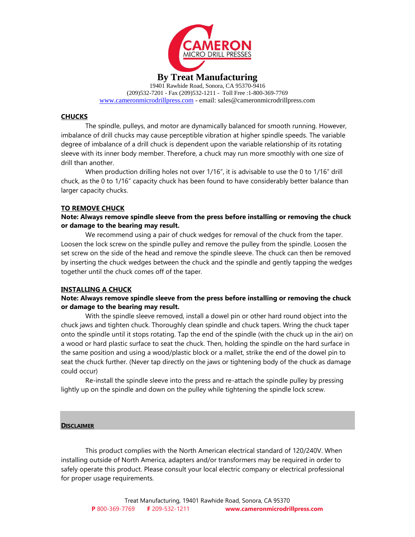

19401 Rawhide Road, Sonora, CA 95370-9416 (209)532-7201 - Fax (209)532-1211 - Toll Free :1-800-369-7769 [www.cameronmicrodrillpress.com](http://www.cameronmicrodrillpress.com/) - email: sales@cameronmicrodrillpress.com

### **CHUCKS**

The spindle, pulleys, and motor are dynamically balanced for smooth running. However, imbalance of drill chucks may cause perceptible vibration at higher spindle speeds. The variable degree of imbalance of a drill chuck is dependent upon the variable relationship of its rotating sleeve with its inner body member. Therefore, a chuck may run more smoothly with one size of drill than another.

When production drilling holes not over 1/16", it is advisable to use the 0 to 1/16" drill chuck, as the 0 to 1/16" capacity chuck has been found to have considerably better balance than larger capacity chucks.

#### **TO REMOVE CHUCK**

**Note: Always remove spindle sleeve from the press before installing or removing the chuck or damage to the bearing may result.**

We recommend using a pair of chuck wedges for removal of the chuck from the taper. Loosen the lock screw on the spindle pulley and remove the pulley from the spindle. Loosen the set screw on the side of the head and remove the spindle sleeve. The chuck can then be removed by inserting the chuck wedges between the chuck and the spindle and gently tapping the wedges together until the chuck comes off of the taper.

#### **INSTALLING A CHUCK**

## **Note: Always remove spindle sleeve from the press before installing or removing the chuck or damage to the bearing may result.**

With the spindle sleeve removed, install a dowel pin or other hard round object into the chuck jaws and tighten chuck. Thoroughly clean spindle and chuck tapers. Wring the chuck taper onto the spindle until it stops rotating. Tap the end of the spindle (with the chuck up in the air) on a wood or hard plastic surface to seat the chuck. Then, holding the spindle on the hard surface in the same position and using a wood/plastic block or a mallet, strike the end of the dowel pin to seat the chuck further. (Never tap directly on the jaws or tightening body of the chuck as damage could occur)

Re-install the spindle sleeve into the press and re-attach the spindle pulley by pressing lightly up on the spindle and down on the pulley while tightening the spindle lock screw.

#### **DISCLAIMER**

This product complies with the North American electrical standard of 120/240V. When installing outside of North America, adapters and/or transformers may be required in order to safely operate this product. Please consult your local electric company or electrical professional for proper usage requirements.